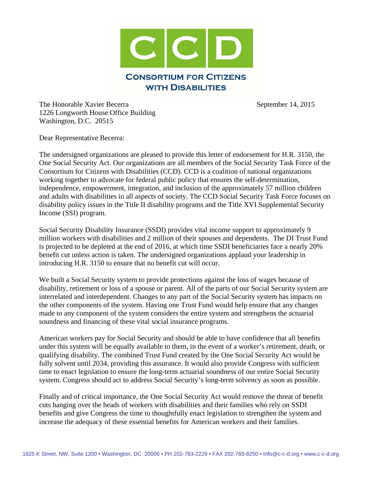

The Honorable Xavier Becerra September 14, 2015 1226 Longworth House Office Building Washington, D.C. 20515

Dear Representative Becerra:

The undersigned organizations are pleased to provide this letter of endorsement for H.R. 3150, the One Social Security Act. Our organizations are all members of the Social Security Task Force of the Consortium for Citizens with Disabilities (CCD). CCD is a coalition of national organizations working together to advocate for federal public policy that ensures the self-determination, independence, empowerment, integration, and inclusion of the approximately 57 million children and adults with disabilities in all aspects of society. The CCD Social Security Task Force focuses on disability policy issues in the Title II disability programs and the Title XVI Supplemental Security Income (SSI) program.

Social Security Disability Insurance (SSDI) provides vital income support to approximately 9 million workers with disabilities and 2 million of their spouses and dependents. The DI Trust Fund is projected to be depleted at the end of 2016, at which time SSDI beneficiaries face a nearly 20% benefit cut unless action is taken. The undersigned organizations applaud your leadership in introducing H.R. 3150 to ensure that no benefit cut will occur.

We built a Social Security system to provide protections against the loss of wages because of disability, retirement or loss of a spouse or parent. All of the parts of our Social Security system are interrelated and interdependent. Changes to any part of the Social Security system has impacts on the other components of the system. Having one Trust Fund would help ensure that any changes made to any component of the system considers the entire system and strengthens the actuarial soundness and financing of these vital social insurance programs.

American workers pay for Social Security and should be able to have confidence that all benefits under this system will be equally available to them, in the event of a worker's retirement, death, or qualifying disability. The combined Trust Fund created by the One Social Security Act would be fully solvent until 2034, providing this assurance. It would also provide Congress with sufficient time to enact legislation to ensure the long-term actuarial soundness of our entire Social Security system. Congress should act to address Social Security's long-term solvency as soon as possible.

Finally and of critical importance, the One Social Security Act would remove the threat of benefit cuts hanging over the heads of workers with disabilities and their families who rely on SSDI benefits and give Congress the time to thoughtfully enact legislation to strengthen the system and increase the adequacy of these essential benefits for American workers and their families.